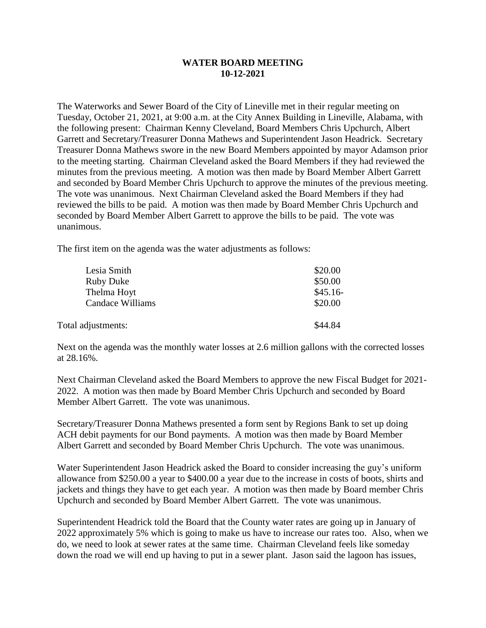## **WATER BOARD MEETING 10-12-2021**

The Waterworks and Sewer Board of the City of Lineville met in their regular meeting on Tuesday, October 21, 2021, at 9:00 a.m. at the City Annex Building in Lineville, Alabama, with the following present: Chairman Kenny Cleveland, Board Members Chris Upchurch, Albert Garrett and Secretary/Treasurer Donna Mathews and Superintendent Jason Headrick. Secretary Treasurer Donna Mathews swore in the new Board Members appointed by mayor Adamson prior to the meeting starting. Chairman Cleveland asked the Board Members if they had reviewed the minutes from the previous meeting. A motion was then made by Board Member Albert Garrett and seconded by Board Member Chris Upchurch to approve the minutes of the previous meeting. The vote was unanimous. Next Chairman Cleveland asked the Board Members if they had reviewed the bills to be paid. A motion was then made by Board Member Chris Upchurch and seconded by Board Member Albert Garrett to approve the bills to be paid. The vote was unanimous.

The first item on the agenda was the water adjustments as follows:

| Lesia Smith        | \$20.00   |
|--------------------|-----------|
| <b>Ruby Duke</b>   | \$50.00   |
| Thelma Hoyt        | $$45.16-$ |
| Candace Williams   | \$20.00   |
|                    |           |
| Total adjustments: | \$44.84   |

Next on the agenda was the monthly water losses at 2.6 million gallons with the corrected losses at 28.16%.

Next Chairman Cleveland asked the Board Members to approve the new Fiscal Budget for 2021- 2022. A motion was then made by Board Member Chris Upchurch and seconded by Board Member Albert Garrett. The vote was unanimous.

Secretary/Treasurer Donna Mathews presented a form sent by Regions Bank to set up doing ACH debit payments for our Bond payments. A motion was then made by Board Member Albert Garrett and seconded by Board Member Chris Upchurch. The vote was unanimous.

Water Superintendent Jason Headrick asked the Board to consider increasing the guy's uniform allowance from \$250.00 a year to \$400.00 a year due to the increase in costs of boots, shirts and jackets and things they have to get each year. A motion was then made by Board member Chris Upchurch and seconded by Board Member Albert Garrett. The vote was unanimous.

Superintendent Headrick told the Board that the County water rates are going up in January of 2022 approximately 5% which is going to make us have to increase our rates too. Also, when we do, we need to look at sewer rates at the same time. Chairman Cleveland feels like someday down the road we will end up having to put in a sewer plant. Jason said the lagoon has issues,